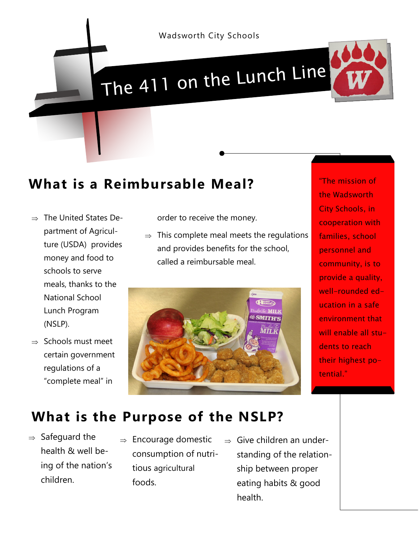

## The 411 on the Lunch Line



## **What is a Reimbursable Meal?**

- $\Rightarrow$  The United States Department of Agriculture (USDA) provides money and food to schools to serve meals, thanks to the National School Lunch Program (NSLP).
- $\Rightarrow$  Schools must meet certain government regulations of a "complete meal" in

order to receive the money.

 $\Rightarrow$  This complete meal meets the regulations and provides benefits for the school, called a reimbursable meal.



"The mission of the Wadsworth City Schools, in cooperation with families, school personnel and community, is to provide a quality, well-rounded education in a safe environment that will enable all students to reach their highest potential."

## **What is the Purpose of the NSLP?**

- $\Rightarrow$  Safeguard the health & well being of the nation's children.
- $\Rightarrow$  Encourage domestic consumption of nutritious agricultural foods.
- $\Rightarrow$  Give children an understanding of the relationship between proper eating habits & good health.